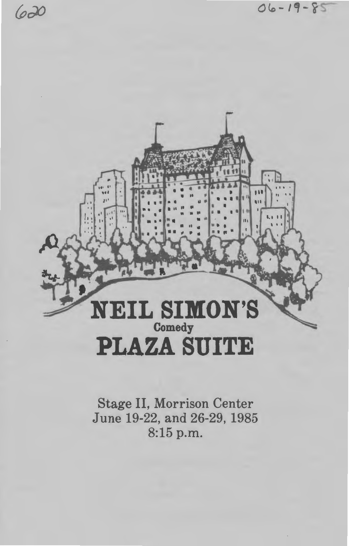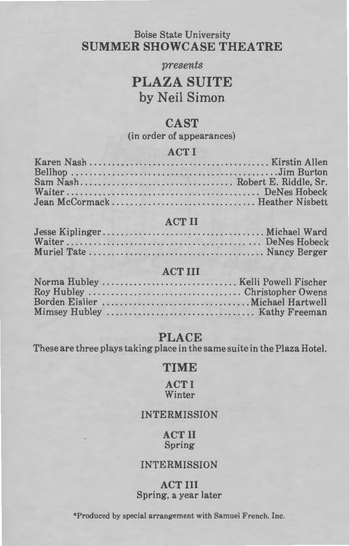## Boise State University SUMMER SHOWCASE THEATRE

#### *presents*

# PLAZA SUITE by Neil Simon

### **CAST**

(in order of appearances)

### ACTI

#### ACT II

| . |  |
|---|--|
|   |  |
|   |  |
|   |  |

#### ACT III

### PLACE

These are three plays taking place in the same suite in the Plaza Hotel.

### TIME

**ACTI Winter** 

#### INTERMISSION

#### ACT II Spring

#### INTERMISSION

#### ACT III Spring, a year later

\*Produced by special arrangement with Samuel French, Inc.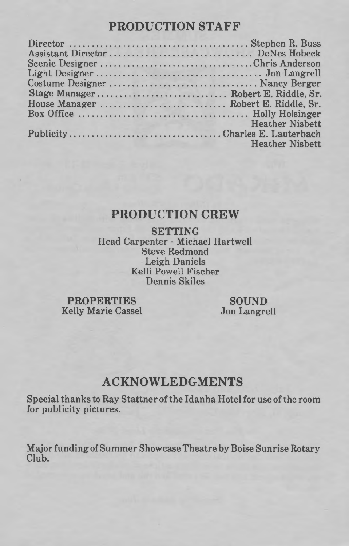# **PRODUCTION STAFF**

| Scenic DesignerChris Anderson        |                                                   |
|--------------------------------------|---------------------------------------------------|
|                                      |                                                   |
|                                      |                                                   |
| Stage Manager Robert E. Riddle, Sr.  |                                                   |
| House Manager  Robert E. Riddle, Sr. |                                                   |
|                                      |                                                   |
|                                      | <b>Heather Nishett</b><br><b>PACKAGE AND LONG</b> |
|                                      |                                                   |
|                                      | <b>Heather Nisbett</b>                            |

# **PRODUCTION CREW**

**SETTING**  Head Carpenter - Michael Hartwell Steve Redmond Leigh Daniels Kelli Powell Fischer Dennis Skiles

**PROPERTIES**  Kelly Marie Cassel

**SOUND**  Jon Langrell

# **ACKNOWLEDGMENTS**

Special thanks to Ray Stattner of the Idanha Hotel for use of the room for publicity pictures.

Major funding of Summer Showcase Theatre by Boise Sunrise Rotary Club.